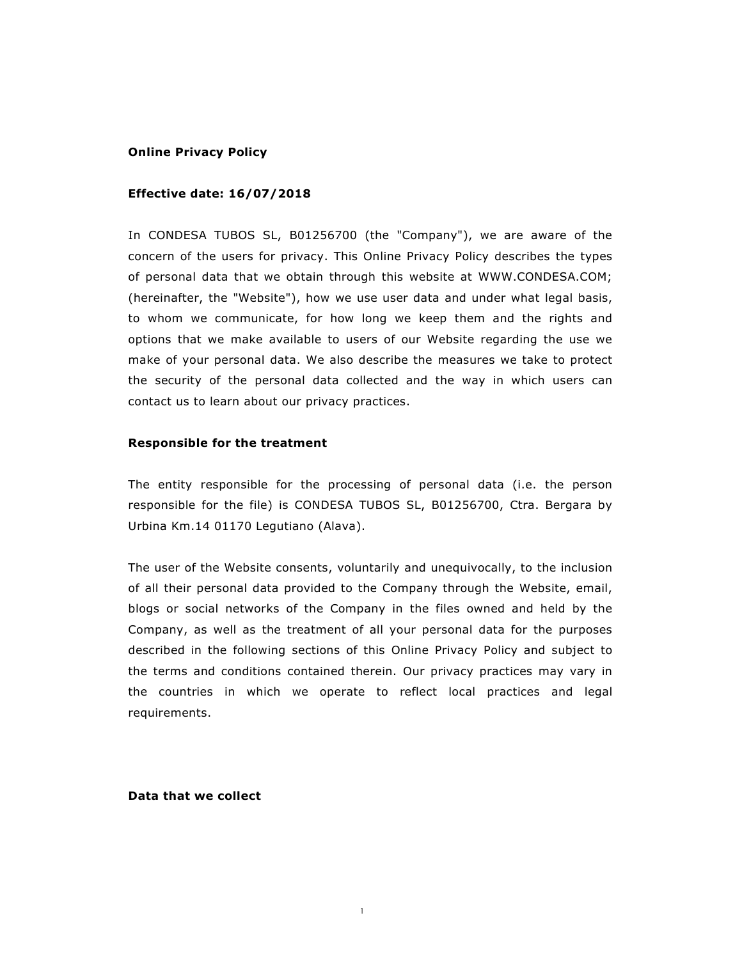### **Online Privacy Policy**

# **Effective date: 16/07/2018**

In CONDESA TUBOS SL, B01256700 (the "Company"), we are aware of the concern of the users for privacy. This Online Privacy Policy describes the types of personal data that we obtain through this website at WWW.CONDESA.COM; (hereinafter, the "Website"), how we use user data and under what legal basis, to whom we communicate, for how long we keep them and the rights and options that we make available to users of our Website regarding the use we make of your personal data. We also describe the measures we take to protect the security of the personal data collected and the way in which users can contact us to learn about our privacy practices.

# **Responsible for the treatment**

The entity responsible for the processing of personal data (i.e. the person responsible for the file) is CONDESA TUBOS SL, B01256700, Ctra. Bergara by Urbina Km.14 01170 Legutiano (Alava).

The user of the Website consents, voluntarily and unequivocally, to the inclusion of all their personal data provided to the Company through the Website, email, blogs or social networks of the Company in the files owned and held by the Company, as well as the treatment of all your personal data for the purposes described in the following sections of this Online Privacy Policy and subject to the terms and conditions contained therein. Our privacy practices may vary in the countries in which we operate to reflect local practices and legal requirements.

**Data that we collect**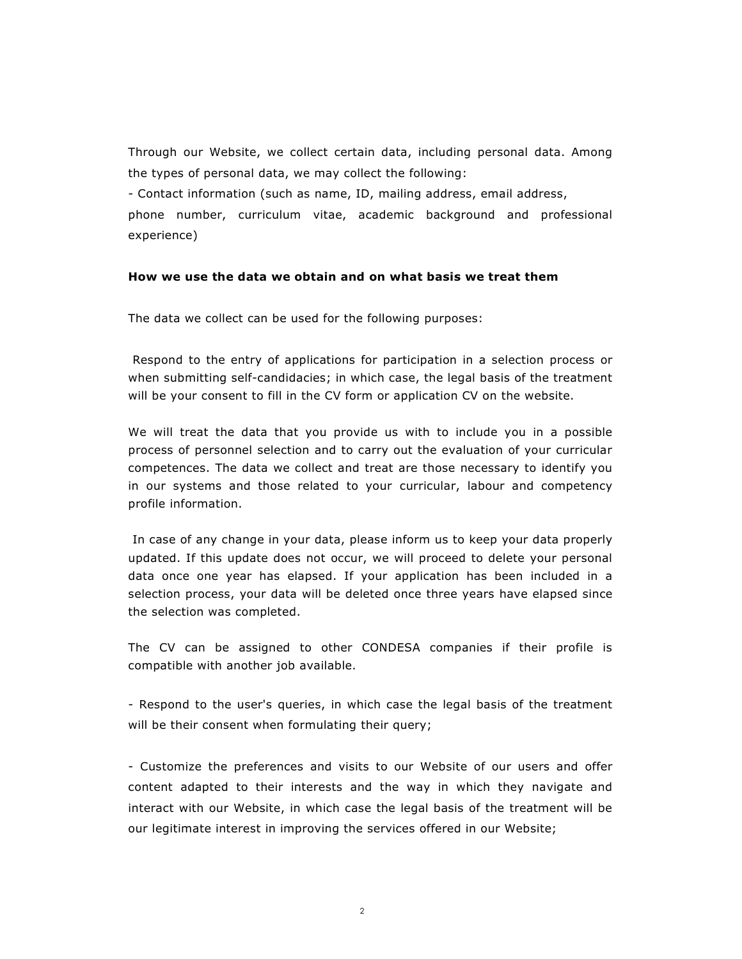Through our Website, we collect certain data, including personal data. Among the types of personal data, we may collect the following:

- Contact information (such as name, ID, mailing address, email address,

phone number, curriculum vitae, academic background and professional experience)

# **How we use the data we obtain and on what basis we treat them**

The data we collect can be used for the following purposes:

 Respond to the entry of applications for participation in a selection process or when submitting self-candidacies; in which case, the legal basis of the treatment will be your consent to fill in the CV form or application CV on the website.

We will treat the data that you provide us with to include you in a possible process of personnel selection and to carry out the evaluation of your curricular competences. The data we collect and treat are those necessary to identify you in our systems and those related to your curricular, labour and competency profile information.

 In case of any change in your data, please inform us to keep your data properly updated. If this update does not occur, we will proceed to delete your personal data once one year has elapsed. If your application has been included in a selection process, your data will be deleted once three years have elapsed since the selection was completed.

The CV can be assigned to other CONDESA companies if their profile is compatible with another job available.

- Respond to the user's queries, in which case the legal basis of the treatment will be their consent when formulating their query;

- Customize the preferences and visits to our Website of our users and offer content adapted to their interests and the way in which they navigate and interact with our Website, in which case the legal basis of the treatment will be our legitimate interest in improving the services offered in our Website;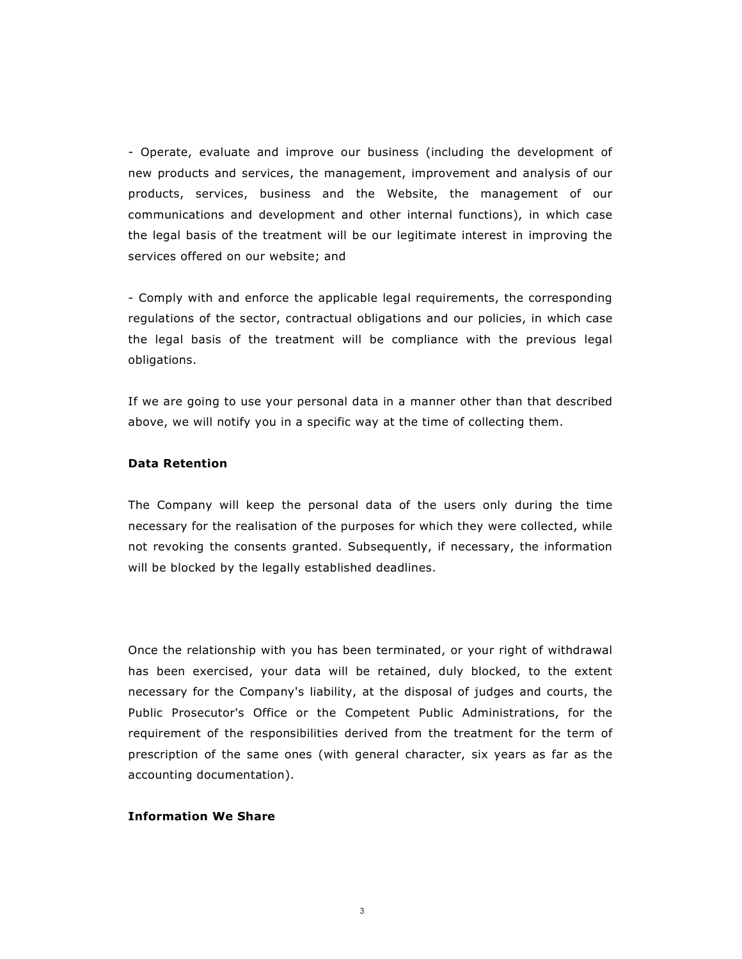- Operate, evaluate and improve our business (including the development of new products and services, the management, improvement and analysis of our products, services, business and the Website, the management of our communications and development and other internal functions), in which case the legal basis of the treatment will be our legitimate interest in improving the services offered on our website; and

- Comply with and enforce the applicable legal requirements, the corresponding regulations of the sector, contractual obligations and our policies, in which case the legal basis of the treatment will be compliance with the previous legal obligations.

If we are going to use your personal data in a manner other than that described above, we will notify you in a specific way at the time of collecting them.

# **Data Retention**

The Company will keep the personal data of the users only during the time necessary for the realisation of the purposes for which they were collected, while not revoking the consents granted. Subsequently, if necessary, the information will be blocked by the legally established deadlines.

Once the relationship with you has been terminated, or your right of withdrawal has been exercised, your data will be retained, duly blocked, to the extent necessary for the Company's liability, at the disposal of judges and courts, the Public Prosecutor's Office or the Competent Public Administrations, for the requirement of the responsibilities derived from the treatment for the term of prescription of the same ones (with general character, six years as far as the accounting documentation).

### **Information We Share**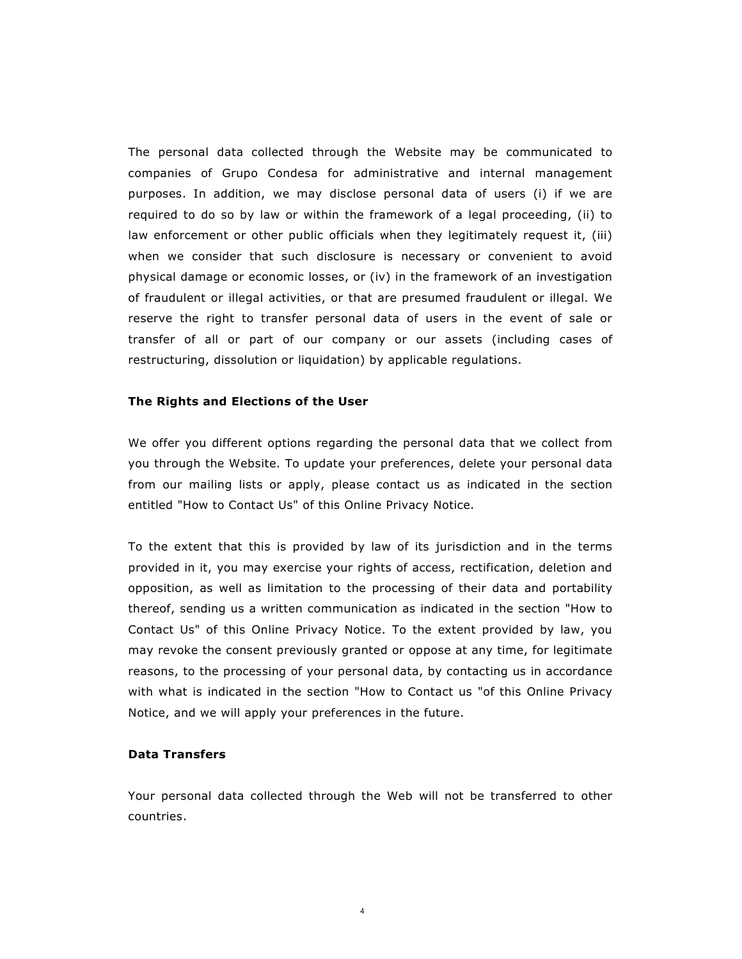The personal data collected through the Website may be communicated to companies of Grupo Condesa for administrative and internal management purposes. In addition, we may disclose personal data of users (i) if we are required to do so by law or within the framework of a legal proceeding, (ii) to law enforcement or other public officials when they legitimately request it, (iii) when we consider that such disclosure is necessary or convenient to avoid physical damage or economic losses, or (iv) in the framework of an investigation of fraudulent or illegal activities, or that are presumed fraudulent or illegal. We reserve the right to transfer personal data of users in the event of sale or transfer of all or part of our company or our assets (including cases of restructuring, dissolution or liquidation) by applicable regulations.

### **The Rights and Elections of the User**

We offer you different options regarding the personal data that we collect from you through the Website. To update your preferences, delete your personal data from our mailing lists or apply, please contact us as indicated in the section entitled "How to Contact Us" of this Online Privacy Notice.

To the extent that this is provided by law of its jurisdiction and in the terms provided in it, you may exercise your rights of access, rectification, deletion and opposition, as well as limitation to the processing of their data and portability thereof, sending us a written communication as indicated in the section "How to Contact Us" of this Online Privacy Notice. To the extent provided by law, you may revoke the consent previously granted or oppose at any time, for legitimate reasons, to the processing of your personal data, by contacting us in accordance with what is indicated in the section "How to Contact us "of this Online Privacy Notice, and we will apply your preferences in the future.

# **Data Transfers**

Your personal data collected through the Web will not be transferred to other countries.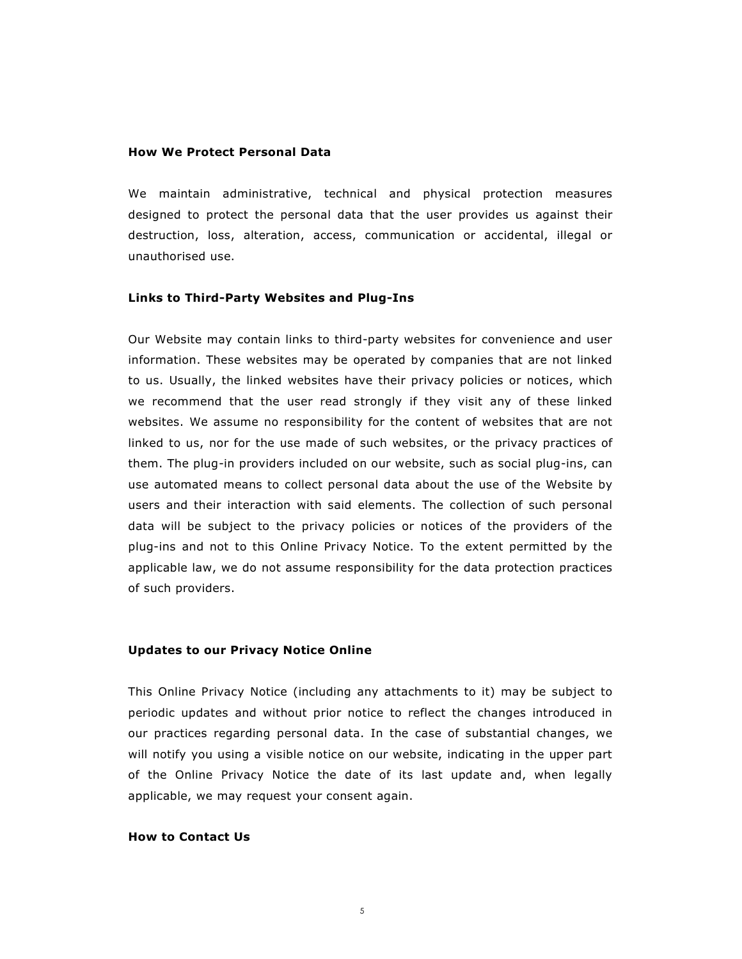#### **How We Protect Personal Data**

We maintain administrative, technical and physical protection measures designed to protect the personal data that the user provides us against their destruction, loss, alteration, access, communication or accidental, illegal or unauthorised use.

#### **Links to Third-Party Websites and Plug-Ins**

Our Website may contain links to third-party websites for convenience and user information. These websites may be operated by companies that are not linked to us. Usually, the linked websites have their privacy policies or notices, which we recommend that the user read strongly if they visit any of these linked websites. We assume no responsibility for the content of websites that are not linked to us, nor for the use made of such websites, or the privacy practices of them. The plug-in providers included on our website, such as social plug-ins, can use automated means to collect personal data about the use of the Website by users and their interaction with said elements. The collection of such personal data will be subject to the privacy policies or notices of the providers of the plug-ins and not to this Online Privacy Notice. To the extent permitted by the applicable law, we do not assume responsibility for the data protection practices of such providers.

#### **Updates to our Privacy Notice Online**

This Online Privacy Notice (including any attachments to it) may be subject to periodic updates and without prior notice to reflect the changes introduced in our practices regarding personal data. In the case of substantial changes, we will notify you using a visible notice on our website, indicating in the upper part of the Online Privacy Notice the date of its last update and, when legally applicable, we may request your consent again.

# **How to Contact Us**